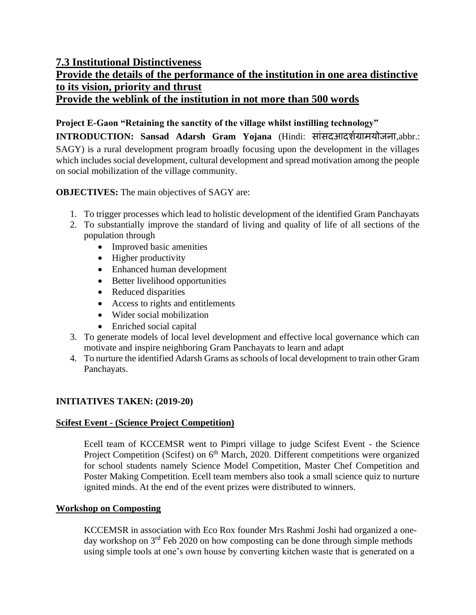# **7.3 Institutional Distinctiveness**

# **Provide the details of the performance of the institution in one area distinctive to its vision, priority and thrust Provide the weblink of the institution in not more than 500 words**

# **Project E-Gaon "Retaining the sanctity of the village whilst instilling technology"**

**INTRODUCTION: Sansad Adarsh Gram Yojana** [\(Hindi:](https://en.wikipedia.org/wiki/Hindi_language) साांसदआदर्शग्रामयोजना[,abbr.:](https://en.wikipedia.org/wiki/Abbreviation) SAGY) is a rural development program broadly focusing upon the development in the villages which includes social development, cultural development and spread motivation among the people on social mobilization of the village community.

**OBJECTIVES:** The main objectives of SAGY are:

- 1. To trigger processes which lead to holistic development of the identified Gram Panchayats
- 2. To substantially improve the standard of living and quality of life of all sections of the population through
	- Improved basic amenities
	- Higher productivity
	- Enhanced human development
	- Better livelihood opportunities
	- Reduced disparities
	- Access to rights and entitlements
	- Wider social mobilization
	- Enriched social capital
- 3. To generate models of local level development and effective local governance which can motivate and inspire neighboring Gram Panchayats to learn and adapt
- 4. To nurture the identified Adarsh Grams as schools of local development to train other Gram Panchayats.

# **INITIATIVES TAKEN: (2019-20)**

## **Scifest Event - (Science Project Competition)**

Ecell team of KCCEMSR went to Pimpri village to judge Scifest Event - the Science Project Competition (Scifest) on 6<sup>th</sup> March, 2020. Different competitions were organized for school students namely Science Model Competition, Master Chef Competition and Poster Making Competition. Ecell team members also took a small science quiz to nurture ignited minds. At the end of the event prizes were distributed to winners.

## **Workshop on Composting**

KCCEMSR in association with Eco Rox founder Mrs Rashmi Joshi had organized a oneday workshop on  $3<sup>rd</sup>$  Feb 2020 on how composting can be done through simple methods using simple tools at one's own house by converting kitchen waste that is generated on a